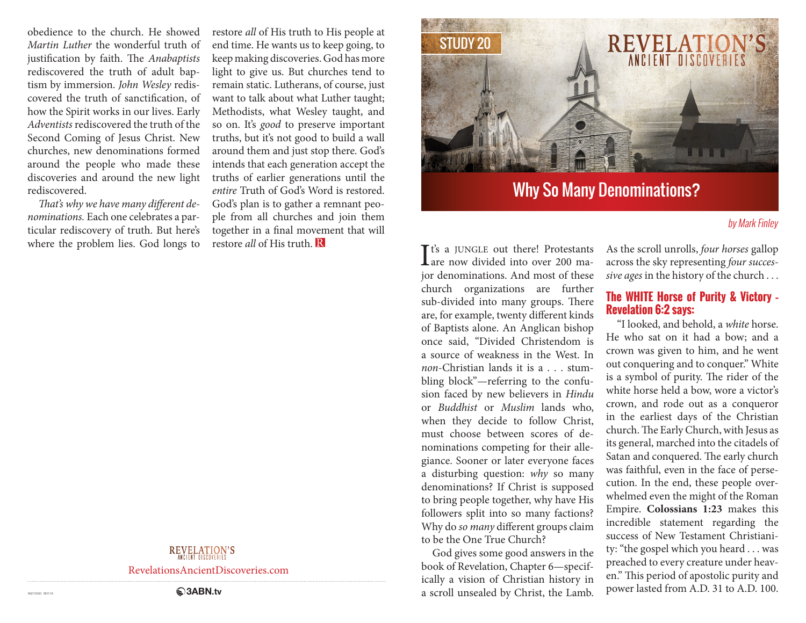obedience to the church. He showed *Martin Luther* the wonderful truth of justification by faith. The *Anabaptists* rediscovered the truth of adult baptism by immersion. *John Wesley* rediscovered the truth of sanctification, of how the Spirit works in our lives. Early *Adventists* rediscovered the truth of the Second Coming of Jesus Christ. New churches, new denominations formed around the people who made these discoveries and around the new light rediscovered.

*That's why we have many different denominations.* Each one celebrates a particular rediscovery of truth. But here's where the problem lies. God longs to restore *all* of His truth to His people at end time. He wants us to keep going, to keep making discoveries. God has more light to give us. But churches tend to remain static. Lutherans, of course, just want to talk about what Luther taught; Methodists, what Wesley taught, and so on. It's *good* to preserve important truths, but it's not good to build a wall around them and just stop there. God's intends that each generation accept the truths of earlier generations until the *entire* Truth of God's Word is restored. God's plan is to gather a remnant people from all churches and join them together in a final movement that will restore *all* of His truth.



# Why So Many Denominations?

#### by Mark Finley

It's a JUNGLE out there! Protestants<br>are now divided into over 200 ma- $\perp$  are now divided into over 200 major denominations. And most of these church organizations are further sub-divided into many groups. There are, for example, twenty different kinds of Baptists alone. An Anglican bishop once said, "Divided Christendom is a source of weakness in the West. In *non*-Christian lands it is a . . . stumbling block"—referring to the confusion faced by new believers in *Hindu*  or *Buddhist* or *Muslim* lands who, when they decide to follow Christ, must choose between scores of denominations competing for their allegiance. Sooner or later everyone faces a disturbing question: *why* so many denominations? If Christ is supposed to bring people together, why have His followers split into so many factions? Why do *so many* different groups claim to be the One True Church?

God gives some good answers in the book of Revelation, Chapter 6—specifically a vision of Christian history in a scroll unsealed by Christ, the Lamb.

As the scroll unrolls, *four horses* gallop across the sky representing *four successive ages* in the history of the church . . .

#### **The WHITE Horse of Purity & Victory – Revelation 6:2 says:**

"I looked, and behold, a *white* horse. He who sat on it had a bow; and a crown was given to him, and he went out conquering and to conquer." White is a symbol of purity. The rider of the white horse held a bow, wore a victor's crown, and rode out as a conqueror in the earliest days of the Christian church. The Early Church, with Jesus as its general, marched into the citadels of Satan and conquered. The early church was faithful, even in the face of persecution. In the end, these people overwhelmed even the might of the Roman Empire. **Colossians 1:23** makes this incredible statement regarding the success of New Testament Christianity: "the gospel which you heard . . . was preached to every creature under heaven." This period of apostolic purity and power lasted from A.D. 31 to A.D. 100.

### **REVELATION'S**

RevelationsAncientDiscoveries.com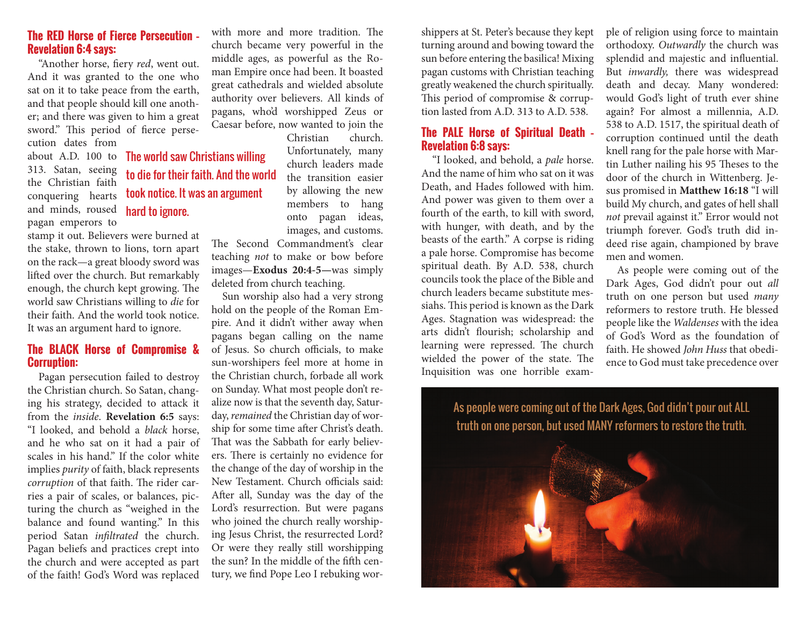#### **The RED Horse of Fierce Persecution – Revelation 6:4 says:**

"Another horse, fiery *red*, went out. And it was granted to the one who sat on it to take peace from the earth, and that people should kill one another; and there was given to him a great sword." This period of fierce perse-

> to die for their faith. And the world took notice. It was an argument

hard to ignore.

cution dates from about A.D. 100 to The world saw Christians willing 313. Satan, seeing the Christian faith conquering hearts and minds, roused pagan emperors to

stamp it out. Believers were burned at the stake, thrown to lions, torn apart on the rack—a great bloody sword was lifted over the church. But remarkably enough, the church kept growing. The world saw Christians willing to *die* for their faith. And the world took notice. It was an argument hard to ignore.

### **The BLACK Horse of Compromise & Corruption:**

Pagan persecution failed to destroy the Christian church. So Satan, changing his strategy, decided to attack it from the *inside*. **Revelation 6:5** says: "I looked, and behold a *black* horse, and he who sat on it had a pair of scales in his hand." If the color white implies *purity* of faith, black represents *corruption* of that faith. The rider carries a pair of scales, or balances, picturing the church as "weighed in the balance and found wanting." In this period Satan *infiltrated* the church. Pagan beliefs and practices crept into the church and were accepted as part of the faith! God's Word was replaced with more and more tradition. The church became very powerful in the middle ages, as powerful as the Roman Empire once had been. It boasted great cathedrals and wielded absolute authority over believers. All kinds of pagans, who'd worshipped Zeus or Caesar before, now wanted to join the

Christian church. Unfortunately, many church leaders made the transition easier by allowing the new members to hang onto pagan ideas, images, and customs.

The Second Commandment's clear teaching *not* to make or bow before images—**Exodus 20:4-5—**was simply deleted from church teaching.

Sun worship also had a very strong hold on the people of the Roman Empire. And it didn't wither away when pagans began calling on the name of Jesus. So church officials, to make sun-worshipers feel more at home in the Christian church, forbade all work on Sunday. What most people don't realize now is that the seventh day, Saturday, *remained* the Christian day of worship for some time after Christ's death. That was the Sabbath for early believers. There is certainly no evidence for the change of the day of worship in the New Testament. Church officials said: After all, Sunday was the day of the Lord's resurrection. But were pagans who joined the church really worshiping Jesus Christ, the resurrected Lord? Or were they really still worshipping the sun? In the middle of the fifth century, we find Pope Leo I rebuking worshippers at St. Peter's because they kept turning around and bowing toward the sun before entering the basilica! Mixing pagan customs with Christian teaching greatly weakened the church spiritually. This period of compromise & corruption lasted from A.D. 313 to A.D. 538.

#### **The PALE Horse of Spiritual Death – Revelation 6:8 says:**

"I looked, and behold, a *pale* horse. And the name of him who sat on it was Death, and Hades followed with him. And power was given to them over a fourth of the earth, to kill with sword, with hunger, with death, and by the beasts of the earth." A corpse is riding a pale horse. Compromise has become spiritual death. By A.D. 538, church councils took the place of the Bible and church leaders became substitute messiahs. This period is known as the Dark Ages. Stagnation was widespread: the arts didn't flourish; scholarship and learning were repressed. The church wielded the power of the state. The Inquisition was one horrible example of religion using force to maintain orthodoxy. *Outwardly* the church was splendid and majestic and influential. But *inwardly,* there was widespread death and decay. Many wondered: would God's light of truth ever shine again? For almost a millennia, A.D. 538 to A.D. 1517, the spiritual death of corruption continued until the death knell rang for the pale horse with Martin Luther nailing his 95 Theses to the door of the church in Wittenberg. Jesus promised in **Matthew 16:18** "I will build My church, and gates of hell shall *not* prevail against it." Error would not triumph forever. God's truth did indeed rise again, championed by brave men and women.

As people were coming out of the Dark Ages, God didn't pour out *all* truth on one person but used *many* reformers to restore truth. He blessed people like the *Waldenses* with the idea of God's Word as the foundation of faith. He showed *John Huss* that obedience to God must take precedence over